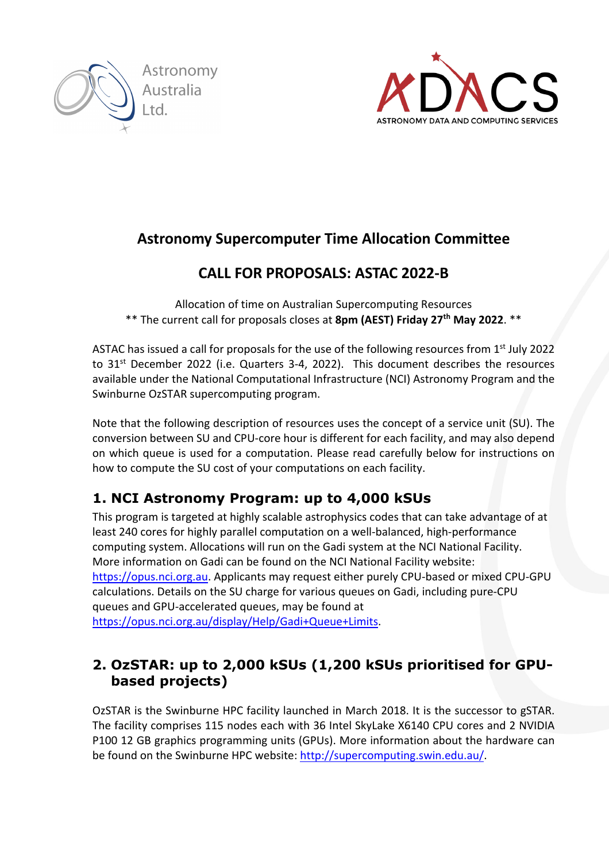



# **Astronomy Supercomputer Time Allocation Committee**

# **CALL FOR PROPOSALS: ASTAC 2022-B**

Allocation of time on Australian Supercomputing Resources \*\* The current call for proposals closes at **8pm (AEST) Friday 27th May 2022**. \*\*

ASTAC has issued a call for proposals for the use of the following resources from 1<sup>st</sup> July 2022 to 31<sup>st</sup> December 2022 (i.e. Quarters 3-4, 2022). This document describes the resources available under the National Computational Infrastructure (NCI) Astronomy Program and the Swinburne OzSTAR supercomputing program.

Note that the following description of resources uses the concept of a service unit (SU). The conversion between SU and CPU-core hour is different for each facility, and may also depend on which queue is used for a computation. Please read carefully below for instructions on how to compute the SU cost of your computations on each facility.

## **1. NCI Astronomy Program: up to 4,000 kSUs**

This program is targeted at highly scalable astrophysics codes that can take advantage of at least 240 cores for highly parallel computation on a well-balanced, high-performance computing system. Allocations will run on the Gadi system at the NCI National Facility. More information on Gadi can be found on the NCI National Facility website: https://opus.nci.org.au. Applicants may request either purely CPU-based or mixed CPU-GPU calculations. Details on the SU charge for various queues on Gadi, including pure-CPU queues and GPU-accelerated queues, may be found at https://opus.nci.org.au/display/Help/Gadi+Queue+Limits.

## **2. OzSTAR: up to 2,000 kSUs (1,200 kSUs prioritised for GPUbased projects)**

OzSTAR is the Swinburne HPC facility launched in March 2018. It is the successor to gSTAR. The facility comprises 115 nodes each with 36 Intel SkyLake X6140 CPU cores and 2 NVIDIA P100 12 GB graphics programming units (GPUs). More information about the hardware can be found on the Swinburne HPC website: http://supercomputing.swin.edu.au/.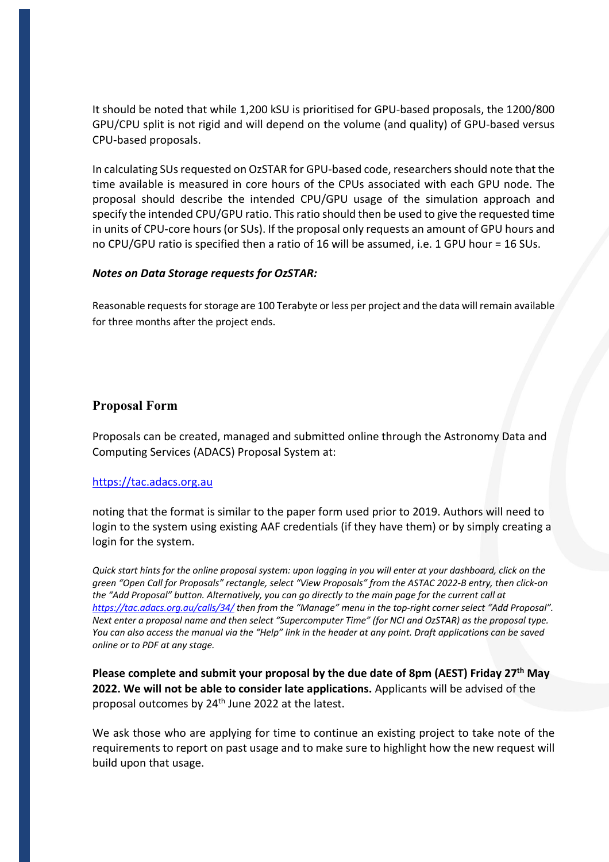It should be noted that while 1,200 kSU is prioritised for GPU-based proposals, the 1200/800 GPU/CPU split is not rigid and will depend on the volume (and quality) of GPU-based versus CPU-based proposals.

In calculating SUs requested on OzSTAR for GPU-based code, researchers should note that the time available is measured in core hours of the CPUs associated with each GPU node. The proposal should describe the intended CPU/GPU usage of the simulation approach and specify the intended CPU/GPU ratio. This ratio should then be used to give the requested time in units of CPU-core hours (or SUs). If the proposal only requests an amount of GPU hours and no CPU/GPU ratio is specified then a ratio of 16 will be assumed, i.e. 1 GPU hour = 16 SUs.

#### *Notes on Data Storage requests for OzSTAR:*

Reasonable requests for storage are 100 Terabyte or less per project and the data will remain available for three months after the project ends.

#### **Proposal Form**

Proposals can be created, managed and submitted online through the Astronomy Data and Computing Services (ADACS) Proposal System at:

#### https://tac.adacs.org.au

noting that the format is similar to the paper form used prior to 2019. Authors will need to login to the system using existing AAF credentials (if they have them) or by simply creating a login for the system.

*Quick start hints for the online proposal system: upon logging in you will enter at your dashboard, click on the green "Open Call for Proposals" rectangle, select "View Proposals" from the ASTAC 2022-B entry, then click-on the "Add Proposal" button. Alternatively, you can go directly to the main page for the current call at https://tac.adacs.org.au/calls/34/ then from the "Manage" menu in the top-right corner select "Add Proposal". Next enter a proposal name and then select "Supercomputer Time" (for NCI and OzSTAR) as the proposal type. You can also access the manual via the "Help" link in the header at any point. Draft applications can be saved online or to PDF at any stage.* 

**Please complete and submit your proposal by the due date of 8pm (AEST) Friday 27th May 2022. We will not be able to consider late applications.** Applicants will be advised of the proposal outcomes by 24th June 2022 at the latest.

We ask those who are applying for time to continue an existing project to take note of the requirements to report on past usage and to make sure to highlight how the new request will build upon that usage.